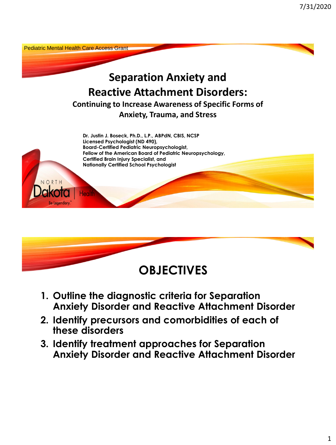



- **1. Outline the diagnostic criteria for Separation Anxiety Disorder and Reactive Attachment Disorder**
- **2. Identify precursors and comorbidities of each of these disorders**
- **3. Identify treatment approaches for Separation Anxiety Disorder and Reactive Attachment Disorder**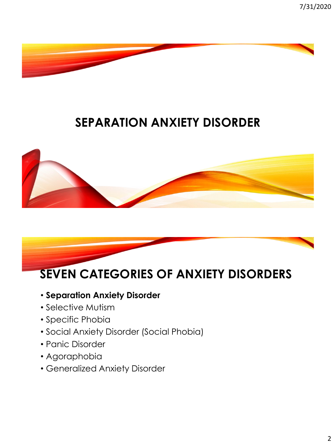



- **Separation Anxiety Disorder**
- Selective Mutism
- Specific Phobia
- Social Anxiety Disorder (Social Phobia)
- Panic Disorder
- Agoraphobia
- Generalized Anxiety Disorder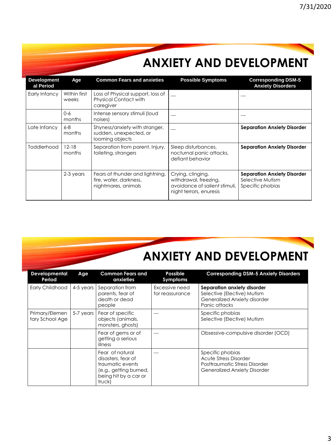# **ANXIETY AND DEVELOPMENT**

| <b>Development</b><br>al Period | Age                   | <b>Common Fears and anxieties</b>                                                | <b>Possible Symptoms</b>                                                                               | <b>Corresponding DSM-5</b><br><b>Anxiety Disorders</b>                     |
|---------------------------------|-----------------------|----------------------------------------------------------------------------------|--------------------------------------------------------------------------------------------------------|----------------------------------------------------------------------------|
| Early Infancy                   | Within first<br>weeks | Loss of Physical support, loss of<br><b>Physical Contact with</b><br>caregiver   |                                                                                                        |                                                                            |
|                                 | $0 - 6$<br>months     | Intense sensory stimuli (loud<br>noises)                                         |                                                                                                        |                                                                            |
| Late Infancy                    | $6 - 8$<br>months     | Shyness/anxiety with stranger,<br>sudden, unexpected, or<br>looming objects      |                                                                                                        | <b>Separation Anxiety Disorder</b>                                         |
| Toddlerhood                     | $12 - 18$<br>months   | Separation from parent, Injury,<br>toileting, strangers                          | Sleep disturbances,<br>nocturnal panic attacks,<br>defiant behavior                                    | <b>Separation Anxiety Disorder</b>                                         |
|                                 | 2-3 years             | Fears of thunder and lightning,<br>fire, water, darkness,<br>nightmares, animals | Crying, clinging,<br>withdrawal, freezing,<br>avoidance of salient stimuli.<br>night terrors, enuresis | <b>Separation Anxiety Disorder</b><br>Selective Mutism<br>Specific phobias |

# **ANXIETY AND DEVELOPMENT**

| Developmental<br>Period           | <b>Age</b> | <b>Common Fears and</b><br>anxieties                                                                                   | Possible<br>Symptoms              | <b>Corresponding DSM-5 Anxiety Disorders</b>                                                                             |
|-----------------------------------|------------|------------------------------------------------------------------------------------------------------------------------|-----------------------------------|--------------------------------------------------------------------------------------------------------------------------|
| <b>Early Childhood</b>            | 4-5 years  | Separation from<br>parents, fear of<br>death or dead<br>people                                                         | Excessive need<br>for reassurance | Separation anxiety disorder<br>Selective (Elective) Mutism<br>Generalized Anxiety disorder<br>Panic attacks              |
| Primary/Elemen<br>tary School Age | 5-7 years  | Fear of specific<br>objects (animals,<br>monsters, ghosts)                                                             |                                   | Specific phobias<br>Selective (Elective) Mutism                                                                          |
|                                   |            | Fear of gems or of<br>getting a serious<br>illness                                                                     |                                   | Obsessive-compulsive disorder (OCD)                                                                                      |
|                                   |            | Fear of natural<br>disasters, fear of<br>traumatic events<br>(e.g., getting burned,<br>being hit by a car or<br>truck) |                                   | Specific phobias<br><b>Acute Stress Disorder</b><br>Posttraumatic Stress Disorder<br><b>Generalized Anxiety Disorder</b> |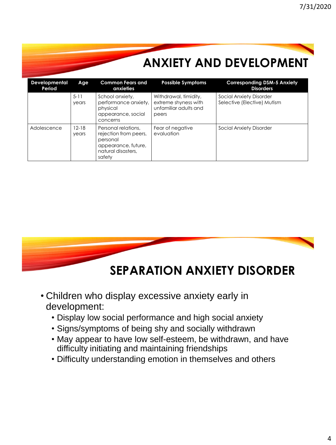|                         |                    | <b>ANXIETY AND DEVELOPMENT</b>                                                                                  |                                                                                 |                                                               |  |
|-------------------------|--------------------|-----------------------------------------------------------------------------------------------------------------|---------------------------------------------------------------------------------|---------------------------------------------------------------|--|
| Developmental<br>Period | Age                | <b>Common Fears and</b><br>anxieties                                                                            | <b>Possible Symptoms</b>                                                        | <b>Corresponding DSM-5 Anxiety</b><br><b>Disorders</b>        |  |
|                         | $5 - 11$<br>years  | School anxiety,<br>performance anxiety,<br>physical<br>appearance, social<br>concerns                           | Withdrawal, timidity,<br>extreme shyness with<br>unfamiliar adults and<br>peers | <b>Social Anxiety Disorder</b><br>Selective (Elective) Mutism |  |
| Adolescence             | $12 - 18$<br>years | Personal relations.<br>rejection from peers,<br>personal<br>appearance, future,<br>natural disasters.<br>safety | Fear of negative<br>evaluation                                                  | <b>Social Anxiety Disorder</b>                                |  |



- Children who display excessive anxiety early in development:
	- Display low social performance and high social anxiety
	- Signs/symptoms of being shy and socially withdrawn
	- May appear to have low self-esteem, be withdrawn, and have difficulty initiating and maintaining friendships
	- Difficulty understanding emotion in themselves and others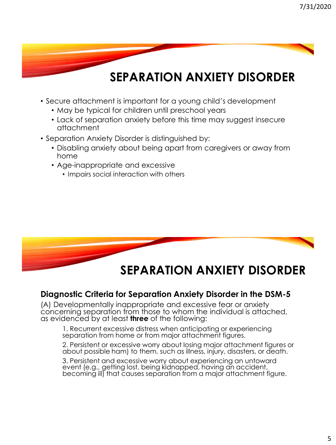- Secure attachment is important for a young child's development
	- May be typical for children until preschool years
	- Lack of separation anxiety before this time may suggest insecure attachment
- Separation Anxiety Disorder is distinguished by:
	- Disabling anxiety about being apart from caregivers or away from home
	- Age-inappropriate and excessive
		- Impairs social interaction with others



#### **Diagnostic Criteria for Separation Anxiety Disorder in the DSM-5**

(A) Developmentally inappropriate and excessive fear or anxiety concerning separation from those to whom the individual is attached, as evidenced by at least **three** of the following:

1. Recurrent excessive distress when anticipating or experiencing separation from home or from major attachment figures.

2. Persistent or excessive worry about losing major attachment figures or about possible ham) to them, such as illness, injury, disasters, or death.

3. Persistent and excessive worry about experiencing an untoward event (e.g., getting lost, being kidnapped, having an accident, becoming ill) that causes separation from a major attachment figure.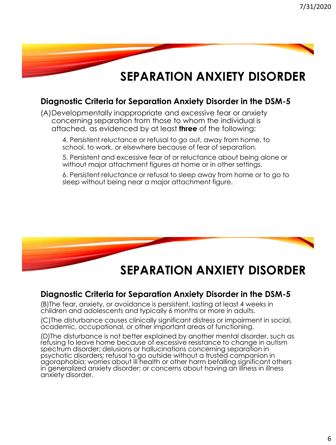#### **Diagnostic Criteria for Separation Anxiety Disorder in the DSM-5**

(A)Developmentally inappropriate and excessive fear or anxiety concerning separation from those to whom the individual is attached, as evidenced by at least **three** of the following:

4. Persistent reluctance or refusal to go out, away from home, to school, to work, or elsewhere because of fear of separation.

5. Persistent and excessive fear of or reluctance about being alone or without major attachment figures at home or in other settings.

6. Persistent reluctance or refusal to sleep away from home or to go to sleep without being near a major attachment figure.



#### **SEPARATION ANXIETY DISORDER**

#### **Diagnostic Criteria for Separation Anxiety Disorder in the DSM-5**

(B)The fear, anxiety, or avoidance is persistent, lasting at least 4 weeks in children and adolescents and typically 6 months or more in adults.

(C)The disturbance causes clinically significant distress or impairment in social, academic, occupational, or other important areas of functioning.

(D)The disturbance is not better explained by another mental disorder, such as refusing to leave home because of excessive resistance to change in autism spectrum disorder; delusions or hallucinations concerning separation in psychotic disorders; refusal to go outside without a trusted companion in agoraphobia; worries about ill health or other harm befalling significant others in generalized anxiety disorder; or concerns about having an illness in illness anxiety disorder.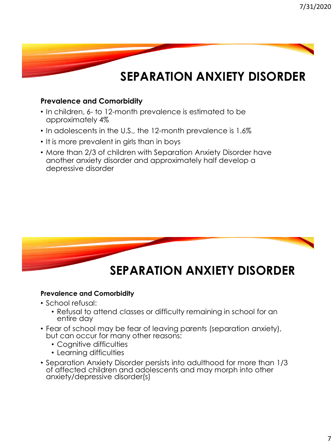#### **Prevalence and Comorbidity**

- In children, 6- to 12-month prevalence is estimated to be approximately 4%
- In adolescents in the U.S., the 12-month prevalence is 1.6%
- It is more prevalent in girls than in boys
- More than 2/3 of children with Separation Anxiety Disorder have another anxiety disorder and approximately half develop a depressive disorder



#### **Prevalence and Comorbidity**

- School refusal:
	- Refusal to attend classes or difficulty remaining in school for an entire day
- Fear of school may be fear of leaving parents (separation anxiety), but can occur for many other reasons:
	- Cognitive difficulties
	- Learning difficulties
- Separation Anxiety Disorder persists into adulthood for more than 1/3 of affected children and adolescents and may morph into other anxiety/depressive disorder(s)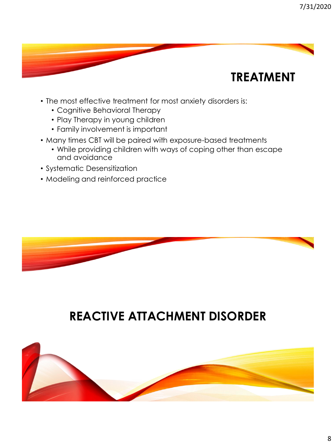## **TREATMENT**

- The most effective treatment for most anxiety disorders is:
	- Cognitive Behavioral Therapy
	- Play Therapy in young children
	- Family involvement is important
- Many times CBT will be paired with exposure-based treatments
	- While providing children with ways of coping other than escape and avoidance
- Systematic Desensitization
- Modeling and reinforced practice



#### **REACTIVE ATTACHMENT DISORDER**

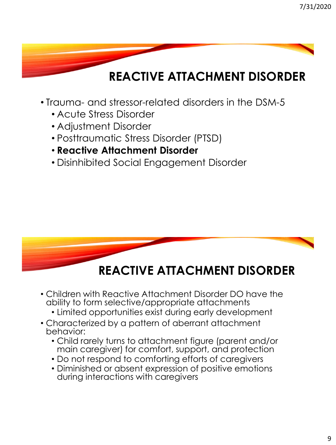- Trauma- and stressor-related disorders in the DSM-5
	- Acute Stress Disorder
	- Adjustment Disorder
	- Posttraumatic Stress Disorder (PTSD)
	- **Reactive Attachment Disorder**
	- Disinhibited Social Engagement Disorder



#### **REACTIVE ATTACHMENT DISORDER**

- Children with Reactive Attachment Disorder DO have the ability to form selective/appropriate attachments
	- Limited opportunities exist during early development
- Characterized by a pattern of aberrant attachment behavior:
	- Child rarely turns to attachment figure (parent and/or main caregiver) for comfort, support, and protection
	- Do not respond to comforting efforts of caregivers
	- Diminished or absent expression of positive emotions during interactions with caregivers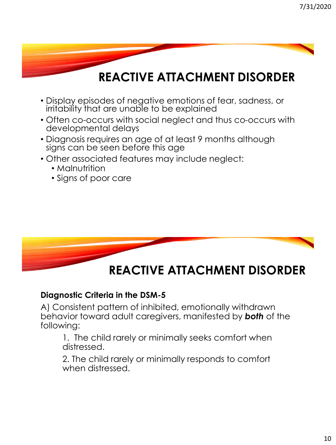- Display episodes of negative emotions of fear, sadness, or irritability that are unable to be explained
- Often co-occurs with social neglect and thus co-occurs with developmental delays
- Diagnosis requires an age of at least 9 months although signs can be seen before this age
- Other associated features may include neglect:
	- Malnutrition
	- Signs of poor care



#### **Diagnostic Criteria in the DSM-5**

A) Consistent pattern of inhibited, emotionally withdrawn behavior toward adult caregivers, manifested by *both* of the following:

1. The child rarely or minimally seeks comfort when distressed.

2. The child rarely or minimally responds to comfort when distressed.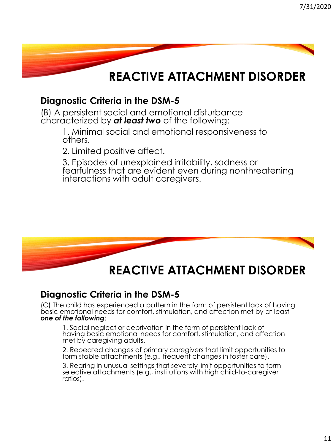

#### **Diagnostic Criteria in the DSM-5**

(B) A persistent social and emotional disturbance characterized by *at least two* of the following:

> 1. Minimal social and emotional responsiveness to others.

2. Limited positive affect.

3. Episodes of unexplained irritability, sadness or fearfulness that are evident even during nonthreatening interactions with adult caregivers.



### **REACTIVE ATTACHMENT DISORDER**

#### **Diagnostic Criteria in the DSM-5**

(C) The child has experienced a pattern in the form of persistent lack of having basic emotional needs for comfort, stimulation, and affection met by at least *one of the following*:

1. Social neglect or deprivation in the form of persistent lack of having basic emotional needs for comfort, stimulation, and affection met by caregiving adults.

2. Repeated changes of primary caregivers that limit opportunities to form stable attachments (e.g., frequent changes in foster care).

3. Rearing in unusual settings that severely limit opportunities to form selective attachments (e.g., institutions with high child-to-caregiver ratios).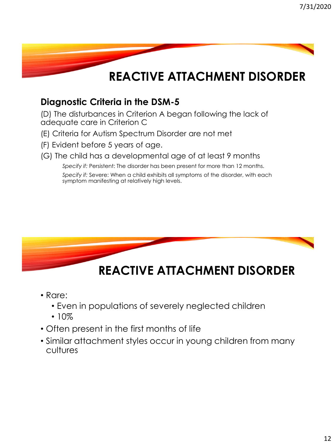#### **Diagnostic Criteria in the DSM-5**

(D) The disturbances in Criterion A began following the lack of adequate care in Criterion C

- (E) Criteria for Autism Spectrum Disorder are not met
- (F) Evident before 5 years of age.
- (G) The child has a developmental age of at least 9 months

*Specify if:* Persistent: The disorder has been present for more than 12 months.

*Specify if:* Severe: When a child exhibits all symptoms of the disorder, with each symptom manifesting at relatively high levels.



## **REACTIVE ATTACHMENT DISORDER**

- Rare:
	- Even in populations of severely neglected children
	- $10%$
- Often present in the first months of life
- Similar attachment styles occur in young children from many cultures